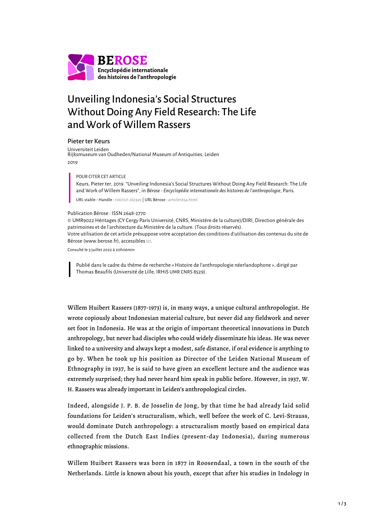

## Unveiling Indonesia's Social Structures Without Doing Any Field Research: The Life and Work of Willem Rassers

## Pieter ter Keurs

Universiteit Leiden Rijksmuseum van Oudheden/National Museum of Antiquities, Leiden 2019

POUR CITER CET ARTICLE

Keurs, Pieter ter, 2019. "Unveiling Indonesia's Social Structures Without Doing Any Field Research: The Life and Work of Willem Rassers", in *Bérose - Encyclopédie internationale des histoires de l'anthropologie*, Paris.

URL stable - Handle : [10670/1.ol23a9](https://hdl.handle.net/10670/1.ol23a9) | URL Bérose : [article1654.html](https://www.berose.fr/article1654.html)

## Publication Bérose : ISSN 2648-2770

© UMR9022 Héritages (CY Cergy Paris Université, CNRS, Ministère de la culture)/DIRI, Direction générale des patrimoines et de l'architecture du Ministère de la culture. (Tous droits réservés). Votre utilisation de cet article présuppose votre acceptation des conditions d'utilisation des contenus du site de Bérose (www.berose.fr), accessibles [ici.](http://www.berose.fr/?Credits-Copyright)

Consulté le 3 juillet 2022 à 20h06min

Publié dans le cadre du thème de recherche « Histoire de l'anthropologie néerlandophone », dirigé par Thomas Beaufils (Université de Lille, IRHiS UMR CNRS 8529).

Willem Huibert Rassers (1877-1973) is, in many ways, a unique cultural anthropologist. He wrote copiously about Indonesian material culture, but never did any fieldwork and never set foot in Indonesia. He was at the origin of important theoretical innovations in Dutch anthropology, but never had disciples who could widely disseminate his ideas. He was never linked to a university and always kept a modest, safe distance, if oral evidence is anything to go by. When he took up his position as Director of the Leiden National Museum of Ethnography in 1937, he is said to have given an excellent lecture and the audience was extremely surprised; they had never heard him speak in public before. However, in 1937, W. H. Rassers was already important in Leiden's anthropological circles.

Indeed, alongside J. P. B. de Josselin de Jong, by that time he had already laid solid foundations for Leiden's structuralism, which, well before the work of C. Levi-Strauss, would dominate Dutch anthropology: a structuralism mostly based on empirical data collected from the Dutch East Indies (present-day Indonesia), during numerous ethnographic missions.

Willem Huibert Rassers was born in 1877 in Roosendaal, a town in the south of the Netherlands. Little is known about his youth, except that after his studies in Indology in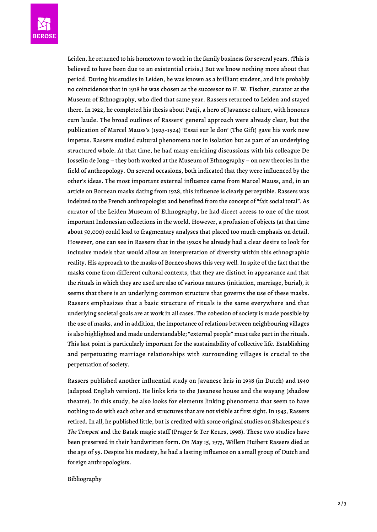Leiden, he returned to his hometown to work in the family business for several years. (This is believed to have been due to an existential crisis.) But we know nothing more about that period. During his studies in Leiden, he was known as a brilliant student, and it is probably no coincidence that in 1918 he was chosen as the successor to H. W. Fischer, curator at the Museum of Ethnography, who died that same year. Rassers returned to Leiden and stayed there. In 1922, he completed his thesis about Panji, a hero of Javanese culture, with honours cum laude. The broad outlines of Rassers' general approach were already clear, but the publication of Marcel Mauss's (1923-1924) 'Essai sur le don' (The Gift) gave his work new impetus. Rassers studied cultural phenomena not in isolation but as part of an underlying structured whole. At that time, he had many enriching discussions with his colleague De Josselin de Jong – they both worked at the Museum of Ethnography – on new theories in the field of anthropology. On several occasions, both indicated that they were influenced by the other's ideas. The most important external influence came from Marcel Mauss, and, in an article on Bornean masks dating from 1928, this influence is clearly perceptible. Rassers was indebted to the French anthropologist and benefited from the concept of "fait social total". As curator of the Leiden Museum of Ethnography, he had direct access to one of the most important Indonesian collections in the world. However, a profusion of objects (at that time about 50,000) could lead to fragmentary analyses that placed too much emphasis on detail. However, one can see in Rassers that in the 1920s he already had a clear desire to look for inclusive models that would allow an interpretation of diversity within this ethnographic reality. His approach to the masks of Borneo shows this very well. In spite of the fact that the masks come from different cultural contexts, that they are distinct in appearance and that the rituals in which they are used are also of various natures (initiation, marriage, burial), it seems that there is an underlying common structure that governs the use of these masks. Rassers emphasizes that a basic structure of rituals is the same everywhere and that underlying societal goals are at work in all cases. The cohesion of society is made possible by the use of masks, and in addition, the importance of relations between neighbouring villages is also highlighted and made understandable; "external people" must take part in the rituals. This last point is particularly important for the sustainability of collective life. Establishing and perpetuating marriage relationships with surrounding villages is crucial to the perpetuation of society.

Rassers published another influential study on Javanese kris in 1938 (in Dutch) and 1940 (adapted English version). He links kris to the Javanese house and the wayang (shadow theatre). In this study, he also looks for elements linking phenomena that seem to have nothing to do with each other and structures that are not visible at first sight. In 1943, Rassers retired. In all, he published little, but is credited with some original studies on Shakespeare's *The Tempest* and the Batak magic staff (Prager & Ter Keurs, 1998). These two studies have been preserved in their handwritten form. On May 15, 1973, Willem Huibert Rassers died at the age of 95. Despite his modesty, he had a lasting influence on a small group of Dutch and foreign anthropologists.

## Bibliography